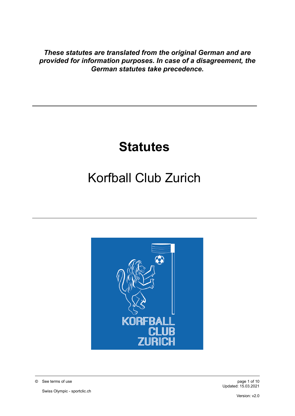*These statutes are translated from the original German and are provided for information purposes. In case of a disagreement, the German statutes take precedence.*

## **Statutes**

# Korfball Club Zurich



© See terms of use page 1 of 10

Swiss Olympic - sportclic.ch

Updated: 15.03.2021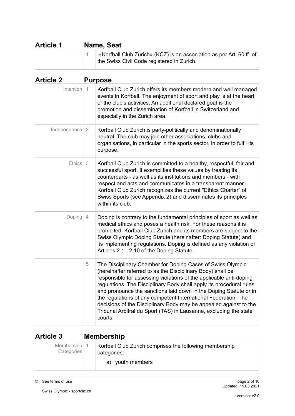| <b>Article 1</b> | Name, Seat                                                                                                         |  |  |
|------------------|--------------------------------------------------------------------------------------------------------------------|--|--|
|                  | «Korfball Club Zurich» (KCZ) is an association as per Art. 60 ff. of<br>the Swiss Civil Code registered in Zurich. |  |  |

| <b>Article 2</b> |                | <b>Purpose</b>                                                                                                                                                                                                                                                                                                                                                                                                                                                                                                                                                     |
|------------------|----------------|--------------------------------------------------------------------------------------------------------------------------------------------------------------------------------------------------------------------------------------------------------------------------------------------------------------------------------------------------------------------------------------------------------------------------------------------------------------------------------------------------------------------------------------------------------------------|
| Intention        | $\vert$ 1      | Korfball Club Zurich offers its members modern and well managed<br>events in Korfball. The enjoyment of sport and play is at the heart<br>of the club's activities. An additional declared goal is the<br>promotion and dissemination of Korfball in Switzerland and<br>especially in the Zurich area.                                                                                                                                                                                                                                                             |
| Independence     | $\overline{2}$ | Korfball Club Zurich is party-politically and denominationally<br>neutral. The club may join other associations, clubs and<br>organisations, in particular in the sports sector, in order to fulfil its<br>purpose.                                                                                                                                                                                                                                                                                                                                                |
| <b>Ethics</b>    | 3              | Korfball Club Zurich is committed to a healthy, respectful, fair and<br>successful sport. It exemplifies these values by treating its<br>counterparts - as well as its institutions and members - with<br>respect and acts and communicates in a transparent manner.<br>Korfball Club Zurich recognizes the current "Ethics Charter" of<br>Swiss Sports (see Appendix 2) and disseminates its principles<br>within its club.                                                                                                                                       |
| Doping           | 4              | Doping is contrary to the fundamental principles of sport as well as<br>medical ethics and poses a health risk. For these reasons it is<br>prohibited. Korfball Club Zurich and its members are subject to the<br>Swiss Olympic Doping Statute (hereinafter: Doping Statute) and<br>its implementing regulations. Doping is defined as any violation of<br>Articles 2.1 - 2.10 of the Doping Statute.                                                                                                                                                              |
|                  | 5              | The Disciplinary Chamber for Doping Cases of Swiss Olympic<br>(hereinafter referred to as the Disciplinary Body) shall be<br>responsible for assessing violations of the applicable anti-doping<br>regulations. The Disciplinary Body shall apply its procedural rules<br>and pronounce the sanctions laid down in the Doping Statute or in<br>the regulations of any competent International Federation. The<br>decisions of the Disciplinary Body may be appealed against to the<br>Tribunal Arbitral du Sport (TAS) in Lausanne, excluding the state<br>courts. |

## **Article 3 Membership**

| Membership $\vert$ 1<br>Categories | Korfball Club Zurich comprises the following membership<br>categories: |  |
|------------------------------------|------------------------------------------------------------------------|--|
|                                    | a) youth members                                                       |  |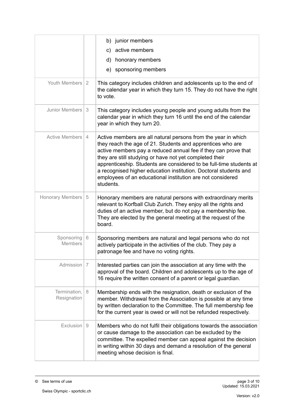|                              |                | b) junior members<br>active members<br>C)<br>d)<br>honorary members                                                                                                                                                                                                                                                                                                                                                                                                            |
|------------------------------|----------------|--------------------------------------------------------------------------------------------------------------------------------------------------------------------------------------------------------------------------------------------------------------------------------------------------------------------------------------------------------------------------------------------------------------------------------------------------------------------------------|
|                              |                | e) sponsoring members                                                                                                                                                                                                                                                                                                                                                                                                                                                          |
| Youth Members                | 2              | This category includes children and adolescents up to the end of<br>the calendar year in which they turn 15. They do not have the right<br>to vote.                                                                                                                                                                                                                                                                                                                            |
| Junior Members               | 3              | This category includes young people and young adults from the<br>calendar year in which they turn 16 until the end of the calendar<br>year in which they turn 20.                                                                                                                                                                                                                                                                                                              |
| Active Members               | $\overline{4}$ | Active members are all natural persons from the year in which<br>they reach the age of 21. Students and apprentices who are<br>active members pay a reduced annual fee if they can prove that<br>they are still studying or have not yet completed their<br>apprenticeship. Students are considered to be full-time students at<br>a recognised higher education institution. Doctoral students and<br>employees of an educational institution are not considered<br>students. |
| <b>Honorary Members</b>      | 5              | Honorary members are natural persons with extraordinary merits<br>relevant to Korfball Club Zurich. They enjoy all the rights and<br>duties of an active member, but do not pay a membership fee.<br>They are elected by the general meeting at the request of the<br>board.                                                                                                                                                                                                   |
| Sponsoring<br><b>Members</b> | 6              | Sponsoring members are natural and legal persons who do not<br>actively participate in the activities of the club. They pay a<br>patronage fee and have no voting rights.                                                                                                                                                                                                                                                                                                      |
| Admission                    | 7              | Interested parties can join the association at any time with the<br>approval of the board. Children and adolescents up to the age of<br>16 require the written consent of a parent or legal guardian.                                                                                                                                                                                                                                                                          |
| Termination,<br>Resignation  | 8              | Membership ends with the resignation, death or exclusion of the<br>member. Withdrawal from the Association is possible at any time<br>by written declaration to the Committee. The full membership fee<br>for the current year is owed or will not be refunded respectively.                                                                                                                                                                                                   |
| Exclusion                    | 9              | Members who do not fulfil their obligations towards the association<br>or cause damage to the association can be excluded by the<br>committee. The expelled member can appeal against the decision<br>in writing within 30 days and demand a resolution of the general<br>meeting whose decision is final.                                                                                                                                                                     |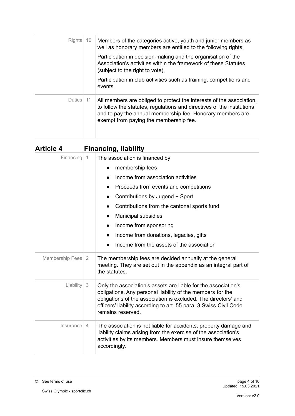| <b>Rights</b> | 10 | Members of the categories active, youth and junior members as<br>well as honorary members are entitled to the following rights:<br>Participation in decision-making and the organisation of the<br>Association's activities within the framework of these Statutes<br>(subject to the right to vote),<br>Participation in club activities such as training, competitions and<br>events. |
|---------------|----|-----------------------------------------------------------------------------------------------------------------------------------------------------------------------------------------------------------------------------------------------------------------------------------------------------------------------------------------------------------------------------------------|
| Duties        | 11 | All members are obliged to protect the interests of the association,<br>to follow the statutes, regulations and directives of the institutions<br>and to pay the annual membership fee. Honorary members are<br>exempt from paying the membership fee.                                                                                                                                  |

| <b>Article 4</b>  | <b>Financing, liability</b> |                                                                                                                                                                                                                                                                                          |  |
|-------------------|-----------------------------|------------------------------------------------------------------------------------------------------------------------------------------------------------------------------------------------------------------------------------------------------------------------------------------|--|
| Financing         | $\overline{1}$              | The association is financed by                                                                                                                                                                                                                                                           |  |
|                   |                             | membership fees<br>$\bullet$                                                                                                                                                                                                                                                             |  |
|                   |                             | Income from association activities<br>$\bullet$                                                                                                                                                                                                                                          |  |
|                   |                             | Proceeds from events and competitions<br>$\bullet$                                                                                                                                                                                                                                       |  |
|                   |                             | Contributions by Jugend + Sport                                                                                                                                                                                                                                                          |  |
|                   |                             | Contributions from the cantonal sports fund                                                                                                                                                                                                                                              |  |
|                   |                             | Municipal subsidies<br>$\bullet$                                                                                                                                                                                                                                                         |  |
|                   |                             | Income from sponsoring<br>$\bullet$                                                                                                                                                                                                                                                      |  |
|                   |                             | Income from donations, legacies, gifts                                                                                                                                                                                                                                                   |  |
|                   |                             | Income from the assets of the association                                                                                                                                                                                                                                                |  |
| Membership Fees 2 |                             | The membership fees are decided annually at the general<br>meeting. They are set out in the appendix as an integral part of<br>the statutes.                                                                                                                                             |  |
| Liability         | 3                           | Only the association's assets are liable for the association's<br>obligations. Any personal liability of the members for the<br>obligations of the association is excluded. The directors' and<br>officers' liability according to art. 55 para. 3 Swiss Civil Code<br>remains reserved. |  |
| Insurance         | $\overline{4}$              | The association is not liable for accidents, property damage and<br>liability claims arising from the exercise of the association's<br>activities by its members. Members must insure themselves<br>accordingly.                                                                         |  |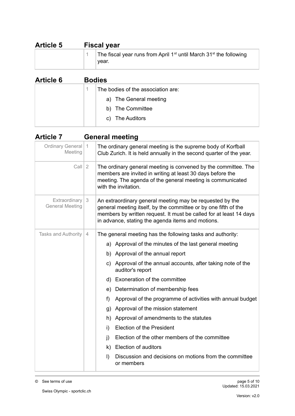| <b>Article 5</b> | <b>Fiscal year</b>                                                                                  |  |
|------------------|-----------------------------------------------------------------------------------------------------|--|
|                  | The fiscal year runs from April 1 <sup>st</sup> until March 31 <sup>st</sup> the following<br>vear. |  |

| <b>Article 6</b> | <b>Bodies</b> |                                    |  |
|------------------|---------------|------------------------------------|--|
|                  |               | The bodies of the association are: |  |
|                  |               | a) The General meeting             |  |
|                  |               | b) The Committee                   |  |
|                  |               | The Auditors<br>C)                 |  |

| <b>Article 7</b>                        |   | <b>General meeting</b>                                                                                                                                                                                                                                 |  |  |
|-----------------------------------------|---|--------------------------------------------------------------------------------------------------------------------------------------------------------------------------------------------------------------------------------------------------------|--|--|
| Ordinary General   1<br>Meeting         |   | The ordinary general meeting is the supreme body of Korfball<br>Club Zurich. It is held annually in the second quarter of the year.                                                                                                                    |  |  |
| $Call$ 2                                |   | The ordinary general meeting is convened by the committee. The<br>members are invited in writing at least 30 days before the<br>meeting. The agenda of the general meeting is communicated<br>with the invitation.                                     |  |  |
| Extraordinary<br><b>General Meeting</b> | 3 | An extraordinary general meeting may be requested by the<br>general meeting itself, by the committee or by one fifth of the<br>members by written request. It must be called for at least 14 days<br>in advance, stating the agenda items and motions. |  |  |
| <b>Tasks and Authority</b>              | 4 | The general meeting has the following tasks and authority:                                                                                                                                                                                             |  |  |
|                                         |   | a) Approval of the minutes of the last general meeting                                                                                                                                                                                                 |  |  |
|                                         |   | b) Approval of the annual report                                                                                                                                                                                                                       |  |  |
|                                         |   | c) Approval of the annual accounts, after taking note of the<br>auditor's report                                                                                                                                                                       |  |  |
|                                         |   | d) Exoneration of the committee                                                                                                                                                                                                                        |  |  |
|                                         |   | e) Determination of membership fees                                                                                                                                                                                                                    |  |  |
|                                         |   | Approval of the programme of activities with annual budget<br>f                                                                                                                                                                                        |  |  |
|                                         |   | Approval of the mission statement<br>g)                                                                                                                                                                                                                |  |  |
|                                         |   | Approval of amendments to the statutes<br>h)                                                                                                                                                                                                           |  |  |
|                                         |   | <b>Election of the President</b><br>i)                                                                                                                                                                                                                 |  |  |
|                                         |   | Election of the other members of the committee<br>$\mathbf{j}$                                                                                                                                                                                         |  |  |
|                                         |   | <b>Election of auditors</b><br>k)                                                                                                                                                                                                                      |  |  |
|                                         |   | Discussion and decisions on motions from the committee<br>$\vert$<br>or members                                                                                                                                                                        |  |  |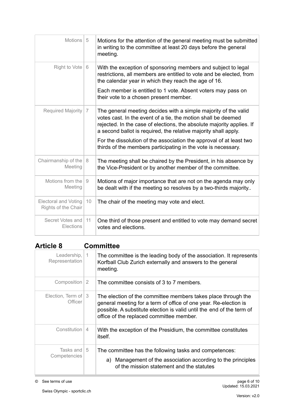| Motions   5                                        |    | Motions for the attention of the general meeting must be submitted<br>in writing to the committee at least 20 days before the general<br>meeting.                                                                                                                                                                                                                                                                    |  |
|----------------------------------------------------|----|----------------------------------------------------------------------------------------------------------------------------------------------------------------------------------------------------------------------------------------------------------------------------------------------------------------------------------------------------------------------------------------------------------------------|--|
| Right to Vote                                      | 6  | With the exception of sponsoring members and subject to legal<br>restrictions, all members are entitled to vote and be elected, from<br>the calendar year in which they reach the age of 16.<br>Each member is entitled to 1 vote. Absent voters may pass on<br>their vote to a chosen present member.                                                                                                               |  |
| Required Majority                                  | 7  | The general meeting decides with a simple majority of the valid<br>votes cast. In the event of a tie, the motion shall be deemed<br>rejected. In the case of elections, the absolute majority applies. If<br>a second ballot is required, the relative majority shall apply.<br>For the dissolution of the association the approval of at least two<br>thirds of the members participating in the vote is necessary. |  |
| Chairmanship of the $ 8$<br>Meeting                |    | The meeting shall be chaired by the President, in his absence by<br>the Vice-President or by another member of the committee.                                                                                                                                                                                                                                                                                        |  |
| Motions from the<br>Meeting                        | 9  | Motions of major importance that are not on the agenda may only<br>be dealt with if the meeting so resolves by a two-thirds majority                                                                                                                                                                                                                                                                                 |  |
| <b>Electoral and Voting</b><br>Rights of the Chair | 10 | The chair of the meeting may vote and elect.                                                                                                                                                                                                                                                                                                                                                                         |  |
| Secret Votes and<br>Elections                      | 11 | One third of those present and entitled to vote may demand secret<br>votes and elections.                                                                                                                                                                                                                                                                                                                            |  |

### **Article 8 Committee**

| Leadership,<br>Representation    | $\vert$ 1      | The committee is the leading body of the association. It represents<br>Korfball Club Zurich externally and answers to the general<br>meeting.                                                                                                          |
|----------------------------------|----------------|--------------------------------------------------------------------------------------------------------------------------------------------------------------------------------------------------------------------------------------------------------|
| Composition 2                    |                | The committee consists of 3 to 7 members.                                                                                                                                                                                                              |
| Election, Term of   3<br>Officer |                | The election of the committee members takes place through the<br>general meeting for a term of office of one year. Re-election is<br>possible. A substitute election is valid until the end of the term of<br>office of the replaced committee member. |
| Constitution I                   | $\overline{4}$ | With the exception of the Presidium, the committee constitutes<br><i>itself.</i>                                                                                                                                                                       |
| Tasks and 15<br>Competencies     |                | The committee has the following tasks and competences:<br>a) Management of the association according to the principles<br>of the mission statement and the statutes                                                                                    |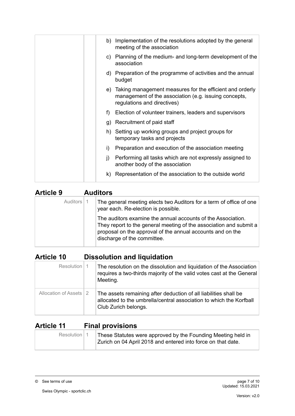|              | b) Implementation of the resolutions adopted by the general<br>meeting of the association                                                           |
|--------------|-----------------------------------------------------------------------------------------------------------------------------------------------------|
| C)           | Planning of the medium- and long-term development of the<br>association                                                                             |
|              | d) Preparation of the programme of activities and the annual<br>budget                                                                              |
|              | e) Taking management measures for the efficient and orderly<br>management of the association (e.g. issuing concepts,<br>regulations and directives) |
| f)           | Election of volunteer trainers, leaders and supervisors                                                                                             |
|              | g) Recruitment of paid staff                                                                                                                        |
|              | h) Setting up working groups and project groups for<br>temporary tasks and projects                                                                 |
| i)           | Preparation and execution of the association meeting                                                                                                |
| $\mathbf{j}$ | Performing all tasks which are not expressly assigned to<br>another body of the association                                                         |
| k).          | Representation of the association to the outside world                                                                                              |

| <b>Article 9</b> | <b>Auditors</b>                                                                                                                                                                                                                 |  |  |
|------------------|---------------------------------------------------------------------------------------------------------------------------------------------------------------------------------------------------------------------------------|--|--|
| Auditors   1     | The general meeting elects two Auditors for a term of office of one<br>year each. Re-election is possible.                                                                                                                      |  |  |
|                  | The auditors examine the annual accounts of the Association.<br>They report to the general meeting of the association and submit a<br>proposal on the approval of the annual accounts and on the<br>discharge of the committee. |  |  |

### **Article 10 Dissolution and liquidation**

| Resolution   1           | The resolution on the dissolution and liquidation of the Association<br>requires a two-thirds majority of the valid votes cast at the General<br>Meeting.       |
|--------------------------|-----------------------------------------------------------------------------------------------------------------------------------------------------------------|
| Allocation of Assets   2 | The assets remaining after deduction of all liabilities shall be<br>allocated to the umbrella/central association to which the Korfball<br>Club Zurich belongs. |

## **Article 11 Final provisions**

| Resolution   1 | These Statutes were approved by the Founding Meeting held in<br>Zurich on 04 April 2018 and entered into force on that date. |
|----------------|------------------------------------------------------------------------------------------------------------------------------|
|----------------|------------------------------------------------------------------------------------------------------------------------------|

© See terms of use page 7 of 10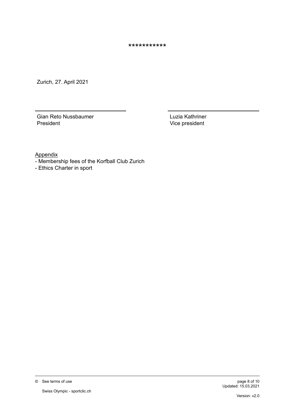\*\*\*\*\*\*\*\*\*\*\*

Zurich, 27. April 2021

Gian Reto Nussbaumer President

Luzia Kathriner Vice president

Appendix

- Membership fees of the Korfball Club Zurich
- Ethics Charter in sport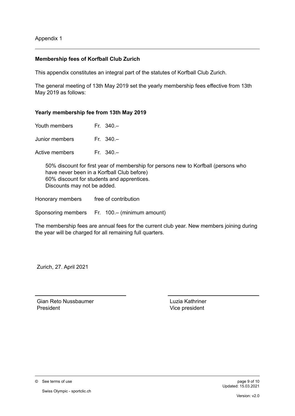Appendix 1

#### **Membership fees of Korfball Club Zurich**

This appendix constitutes an integral part of the statutes of Korfball Club Zurich.

The general meeting of 13th May 2019 set the yearly membership fees effective from 13th May 2019 as follows:

#### **Yearly membership fee from 13th May 2019**

| Youth members |  | Fr. $340 -$ |
|---------------|--|-------------|
|---------------|--|-------------|

Junior members Fr. 340.–

Active members Fr. 340.–

50% discount for first year of membership for persons new to Korfball (persons who have never been in a Korfball Club before) 60% discount for students and apprentices. Discounts may not be added.

Honorary members free of contribution

Sponsoring members Fr. 100.– (minimum amount)

The membership fees are annual fees for the current club year. New members joining during the year will be charged for all remaining full quarters.

Zurich, 27. April 2021

Gian Reto Nussbaumer President

Luzia Kathriner Vice president

© See terms of use page 9 of 10

Swiss Olympic - sportclic.ch